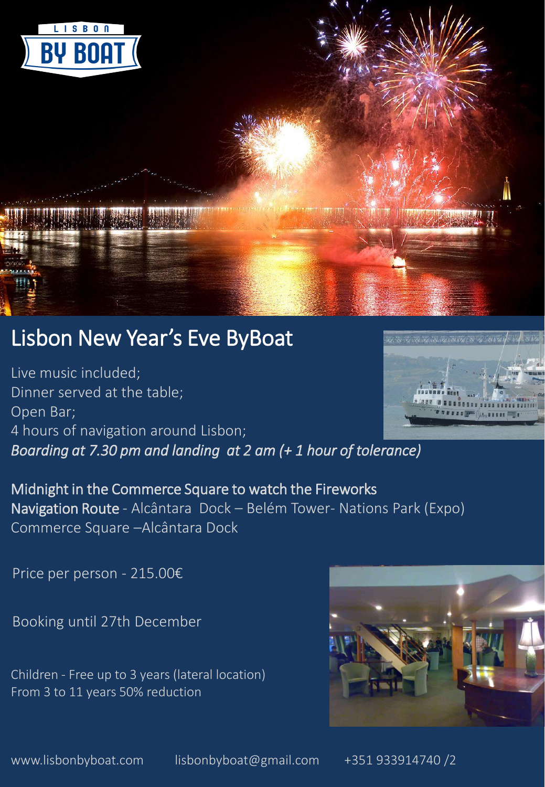

# Lisbon New Year's Eve ByBoat

Live music included; Dinner served at the table; Open Bar; 4 hours of navigation around Lisbon; *Boarding at 7.30 pm and landing at 2 am (+ 1 hour of tolerance)* 



Midnight in the Commerce Square to watch the Fireworks Navigation Route - Alcântara Dock – Belém Tower- Nations Park (Expo) Commerce Square –Alcântara Dock

Price per person - 215.00€

Booking until 27th December

Children - Free up to 3 years (lateral location) From 3 to 11 years 50% reduction



www.lisbonbyboat.com lisbonbyboat@gmail.com +351 933914740 /2